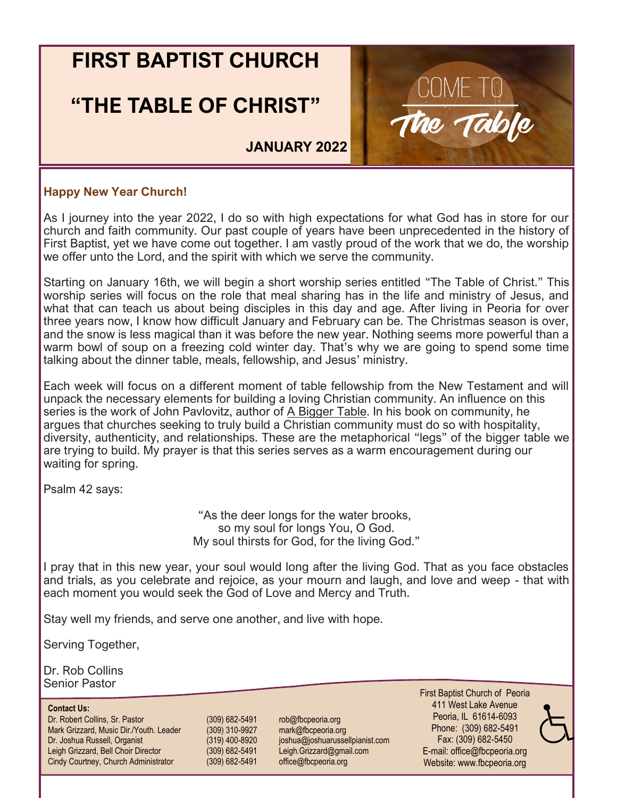## **FIRST BAPTIST CHURCH**

## **"THE TABLE OF CHRIST"**



**JANUARY 2022**

### **Happy New Year Church!**

As I journey into the year 2022, I do so with high expectations for what God has in store for our church and faith community. Our past couple of years have been unprecedented in the history of First Baptist, yet we have come out together. I am vastly proud of the work that we do, the worship we offer unto the Lord, and the spirit with which we serve the community.

Starting on January 16th, we will begin a short worship series entitled "The Table of Christ." This worship series will focus on the role that meal sharing has in the life and ministry of Jesus, and what that can teach us about being disciples in this day and age. After living in Peoria for over three years now, I know how difficult January and February can be. The Christmas season is over, and the snow is less magical than it was before the new year. Nothing seems more powerful than a warm bowl of soup on a freezing cold winter day. That's why we are going to spend some time talking about the dinner table, meals, fellowship, and Jesus' ministry.

Each week will focus on a different moment of table fellowship from the New Testament and will unpack the necessary elements for building a loving Christian community. An influence on this series is the work of John Pavlovitz, author of A Bigger Table. In his book on community, he argues that churches seeking to truly build a Christian community must do so with hospitality, diversity, authenticity, and relationships. These are the metaphorical "legs" of the bigger table we are trying to build. My prayer is that this series serves as a warm encouragement during our waiting for spring.

Psalm 42 says:

"As the deer longs for the water brooks, so my soul for longs You, O God. My soul thirsts for God, for the living God."

I pray that in this new year, your soul would long after the living God. That as you face obstacles and trials, as you celebrate and rejoice, as your mourn and laugh, and love and weep - that with each moment you would seek the God of Love and Mercy and Truth.

Stay well my friends, and serve one another, and live with hope.

Serving Together,

Dr. Rob Collins Senior Pastor

#### **Contact Us:**

Dr. Robert Collins, Sr. Pastor (309) 682-5491 rob@fbcpeoria.org Mark Grizzard, Music Dir./Youth. Leader (309) 310-9927 mark@fbcpeoria.org Dr. Joshua Russell, Organist (319) 400-8920 joshua@joshuarussellpianist.com Leigh Grizzard, Bell Choir Director (309) 682-5491 Leigh.Grizzard@gmail.com Cindy Courtney, Church Administrator (309) 682-5491 office@fbcpeoria.org

First Baptist Church of Peoria 411 West Lake Avenue Peoria, IL 61614-6093 Phone: (309) 682-5491 Fax: (309) 682-5450 E-mail: office@fbcpeoria.org Website: www.fbcpeoria.org